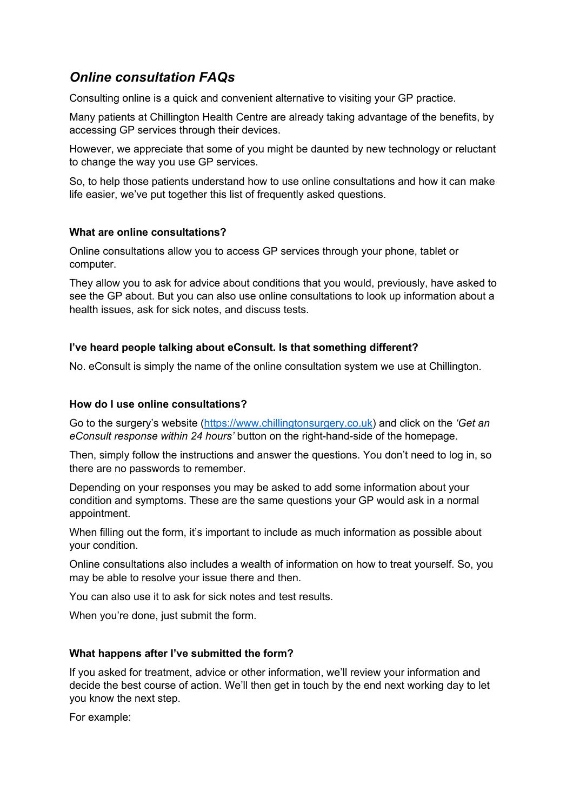# *Online consultation FAQs*

Consulting online is a quick and convenient alternative to visiting your GP practice.

Many patients at Chillington Health Centre are already taking advantage of the benefits, by accessing GP services through their devices.

However, we appreciate that some of you might be daunted by new technology or reluctant to change the way you use GP services.

So, to help those patients understand how to use online consultations and how it can make life easier, we've put together this list of frequently asked questions.

## **What are online consultations?**

Online consultations allow you to access GP services through your phone, tablet or computer.

They allow you to ask for advice about conditions that you would, previously, have asked to see the GP about. But you can also use online consultations to look up information about a health issues, ask for sick notes, and discuss tests.

## **I've heard people talking about eConsult. Is that something different?**

No. eConsult is simply the name of the online consultation system we use at Chillington.

## **How do I use online consultations?**

Go to the surgery's website (https://www.chillingtonsurgery.co.uk) and click on the *'Get an eConsult response within 24 hours'* button on the right-hand-side of the homepage.

Then, simply follow the instructions and answer the questions. You don't need to log in, so there are no passwords to remember.

Depending on your responses you may be asked to add some information about your condition and symptoms. These are the same questions your GP would ask in a normal appointment.

When filling out the form, it's important to include as much information as possible about your condition.

Online consultations also includes a wealth of information on how to treat yourself. So, you may be able to resolve your issue there and then.

You can also use it to ask for sick notes and test results.

When you're done, just submit the form.

## **What happens after I've submitted the form?**

If you asked for treatment, advice or other information, we'll review your information and decide the best course of action. We'll then get in touch by the end next working day to let you know the next step.

For example: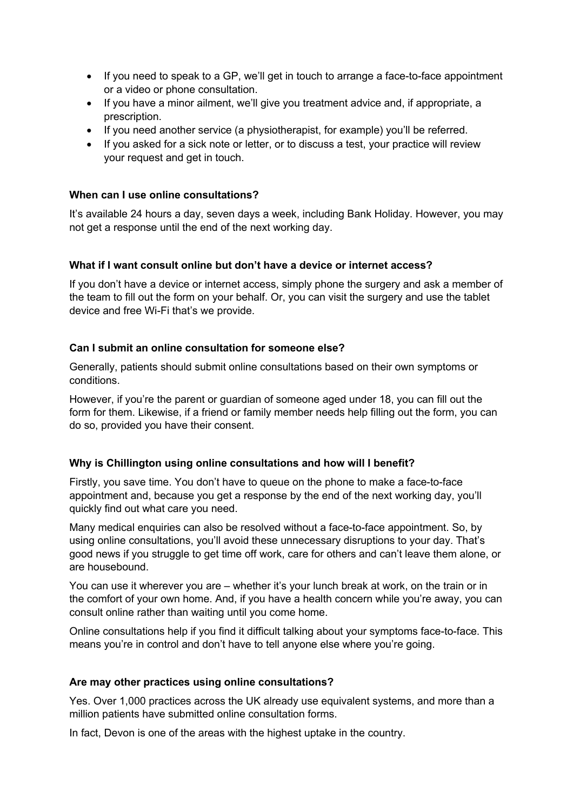- If you need to speak to a GP, we'll get in touch to arrange a face-to-face appointment or a video or phone consultation.
- If you have a minor ailment, we'll give you treatment advice and, if appropriate, a prescription.
- If you need another service (a physiotherapist, for example) you'll be referred.
- If you asked for a sick note or letter, or to discuss a test, your practice will review your request and get in touch.

## **When can I use online consultations?**

It's available 24 hours a day, seven days a week, including Bank Holiday. However, you may not get a response until the end of the next working day.

#### **What if I want consult online but don't have a device or internet access?**

If you don't have a device or internet access, simply phone the surgery and ask a member of the team to fill out the form on your behalf. Or, you can visit the surgery and use the tablet device and free Wi-Fi that's we provide.

#### **Can I submit an online consultation for someone else?**

Generally, patients should submit online consultations based on their own symptoms or conditions.

However, if you're the parent or guardian of someone aged under 18, you can fill out the form for them. Likewise, if a friend or family member needs help filling out the form, you can do so, provided you have their consent.

## **Why is Chillington using online consultations and how will I benefit?**

Firstly, you save time. You don't have to queue on the phone to make a face-to-face appointment and, because you get a response by the end of the next working day, you'll quickly find out what care you need.

Many medical enquiries can also be resolved without a face-to-face appointment. So, by using online consultations, you'll avoid these unnecessary disruptions to your day. That's good news if you struggle to get time off work, care for others and can't leave them alone, or are housebound.

You can use it wherever you are – whether it's your lunch break at work, on the train or in the comfort of your own home. And, if you have a health concern while you're away, you can consult online rather than waiting until you come home.

Online consultations help if you find it difficult talking about your symptoms face-to-face. This means you're in control and don't have to tell anyone else where you're going.

#### **Are may other practices using online consultations?**

Yes. Over 1,000 practices across the UK already use equivalent systems, and more than a million patients have submitted online consultation forms.

In fact, Devon is one of the areas with the highest uptake in the country.